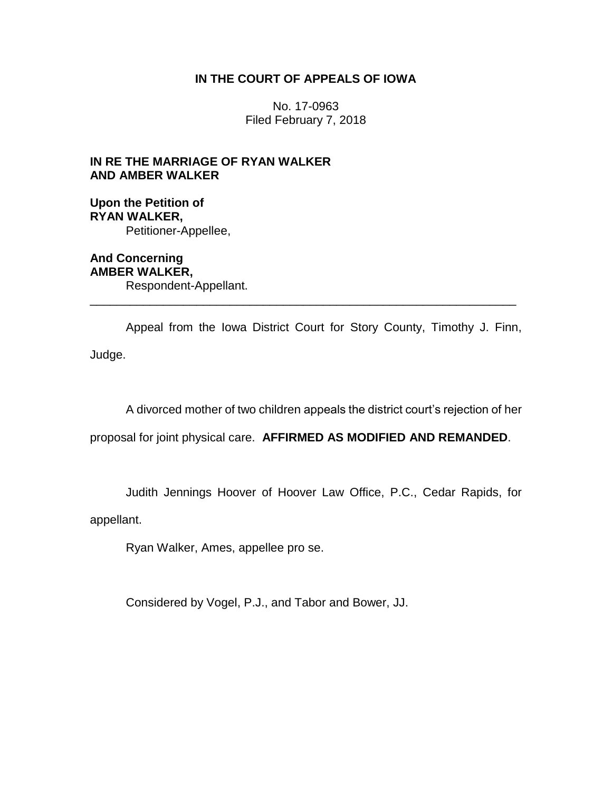## **IN THE COURT OF APPEALS OF IOWA**

No. 17-0963 Filed February 7, 2018

# **IN RE THE MARRIAGE OF RYAN WALKER AND AMBER WALKER**

### **Upon the Petition of RYAN WALKER,** Petitioner-Appellee,

**And Concerning AMBER WALKER,** Respondent-Appellant.

Appeal from the Iowa District Court for Story County, Timothy J. Finn, Judge.

\_\_\_\_\_\_\_\_\_\_\_\_\_\_\_\_\_\_\_\_\_\_\_\_\_\_\_\_\_\_\_\_\_\_\_\_\_\_\_\_\_\_\_\_\_\_\_\_\_\_\_\_\_\_\_\_\_\_\_\_\_\_\_\_

A divorced mother of two children appeals the district court's rejection of her

proposal for joint physical care. **AFFIRMED AS MODIFIED AND REMANDED**.

Judith Jennings Hoover of Hoover Law Office, P.C., Cedar Rapids, for

appellant.

Ryan Walker, Ames, appellee pro se.

Considered by Vogel, P.J., and Tabor and Bower, JJ.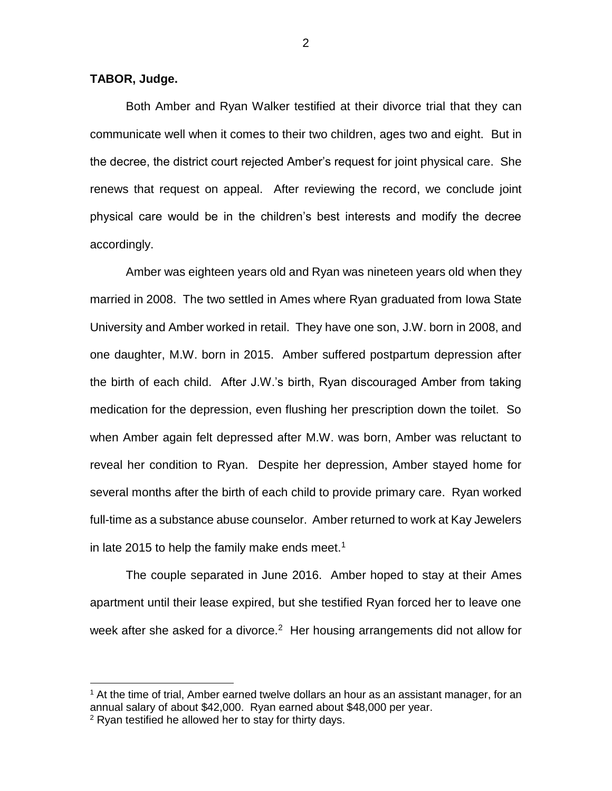#### **TABOR, Judge.**

 $\overline{a}$ 

Both Amber and Ryan Walker testified at their divorce trial that they can communicate well when it comes to their two children, ages two and eight. But in the decree, the district court rejected Amber's request for joint physical care. She renews that request on appeal. After reviewing the record, we conclude joint physical care would be in the children's best interests and modify the decree accordingly.

Amber was eighteen years old and Ryan was nineteen years old when they married in 2008. The two settled in Ames where Ryan graduated from Iowa State University and Amber worked in retail. They have one son, J.W. born in 2008, and one daughter, M.W. born in 2015. Amber suffered postpartum depression after the birth of each child. After J.W.'s birth, Ryan discouraged Amber from taking medication for the depression, even flushing her prescription down the toilet. So when Amber again felt depressed after M.W. was born, Amber was reluctant to reveal her condition to Ryan. Despite her depression, Amber stayed home for several months after the birth of each child to provide primary care. Ryan worked full-time as a substance abuse counselor. Amber returned to work at Kay Jewelers in late 2015 to help the family make ends meet.<sup>1</sup>

The couple separated in June 2016. Amber hoped to stay at their Ames apartment until their lease expired, but she testified Ryan forced her to leave one week after she asked for a divorce.<sup>2</sup> Her housing arrangements did not allow for

 $<sup>1</sup>$  At the time of trial, Amber earned twelve dollars an hour as an assistant manager, for an</sup> annual salary of about \$42,000. Ryan earned about \$48,000 per year.  $2$  Ryan testified he allowed her to stay for thirty days.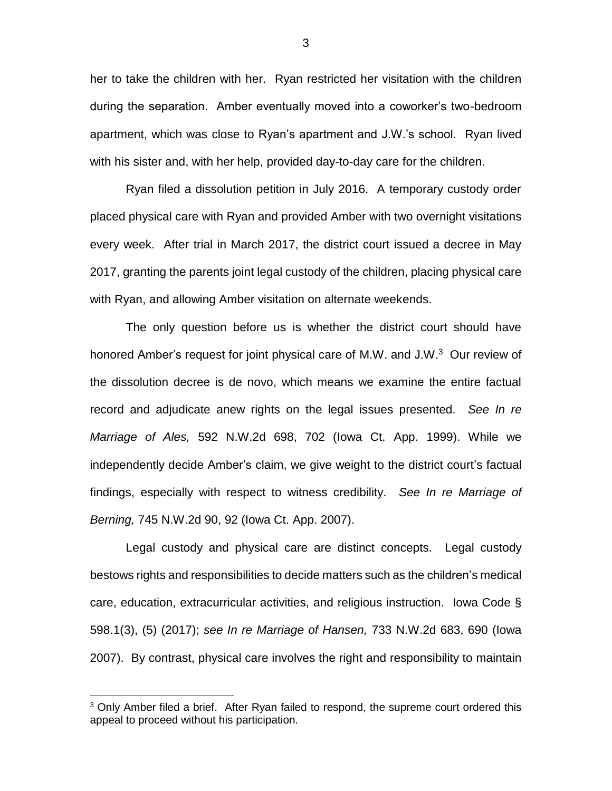her to take the children with her. Ryan restricted her visitation with the children during the separation. Amber eventually moved into a coworker's two-bedroom apartment, which was close to Ryan's apartment and J.W.'s school. Ryan lived with his sister and, with her help, provided day-to-day care for the children.

Ryan filed a dissolution petition in July 2016. A temporary custody order placed physical care with Ryan and provided Amber with two overnight visitations every week. After trial in March 2017, the district court issued a decree in May 2017, granting the parents joint legal custody of the children, placing physical care with Ryan, and allowing Amber visitation on alternate weekends.

The only question before us is whether the district court should have honored Amber's request for joint physical care of M.W. and J.W.<sup>3</sup> Our review of the dissolution decree is de novo, which means we examine the entire factual record and adjudicate anew rights on the legal issues presented. *See In re Marriage of Ales,* 592 N.W.2d 698, 702 (Iowa Ct. App. 1999). While we independently decide Amber's claim, we give weight to the district court's factual findings, especially with respect to witness credibility. *See In re Marriage of Berning,* 745 N.W.2d 90, 92 (Iowa Ct. App. 2007).

Legal custody and physical care are distinct concepts. Legal custody bestows rights and responsibilities to decide matters such as the children's medical care, education, extracurricular activities, and religious instruction. Iowa Code § 598.1(3), (5) (2017); *see In re Marriage of Hansen,* 733 N.W.2d 683, 690 (Iowa 2007). By contrast, physical care involves the right and responsibility to maintain

 $\overline{a}$ 

<sup>&</sup>lt;sup>3</sup> Only Amber filed a brief. After Ryan failed to respond, the supreme court ordered this appeal to proceed without his participation.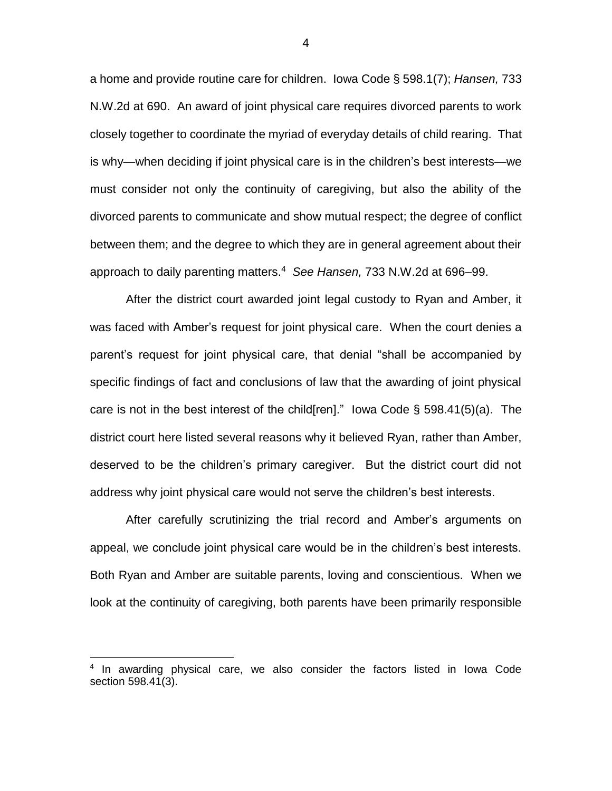a home and provide routine care for children. Iowa Code § 598.1(7); *Hansen,* 733 N.W.2d at 690. An award of joint physical care requires divorced parents to work closely together to coordinate the myriad of everyday details of child rearing. That is why—when deciding if joint physical care is in the children's best interests—we must consider not only the continuity of caregiving, but also the ability of the divorced parents to communicate and show mutual respect; the degree of conflict between them; and the degree to which they are in general agreement about their approach to daily parenting matters.<sup>4</sup> *See Hansen,* 733 N.W.2d at 696–99.

After the district court awarded joint legal custody to Ryan and Amber, it was faced with Amber's request for joint physical care. When the court denies a parent's request for joint physical care, that denial "shall be accompanied by specific findings of fact and conclusions of law that the awarding of joint physical care is not in the best interest of the child [ren]." Iowa Code  $\S$  598.41(5)(a). The district court here listed several reasons why it believed Ryan, rather than Amber, deserved to be the children's primary caregiver. But the district court did not address why joint physical care would not serve the children's best interests.

After carefully scrutinizing the trial record and Amber's arguments on appeal, we conclude joint physical care would be in the children's best interests. Both Ryan and Amber are suitable parents, loving and conscientious. When we look at the continuity of caregiving, both parents have been primarily responsible

 $\overline{a}$ 

4

<sup>&</sup>lt;sup>4</sup> In awarding physical care, we also consider the factors listed in lowa Code section 598.41(3).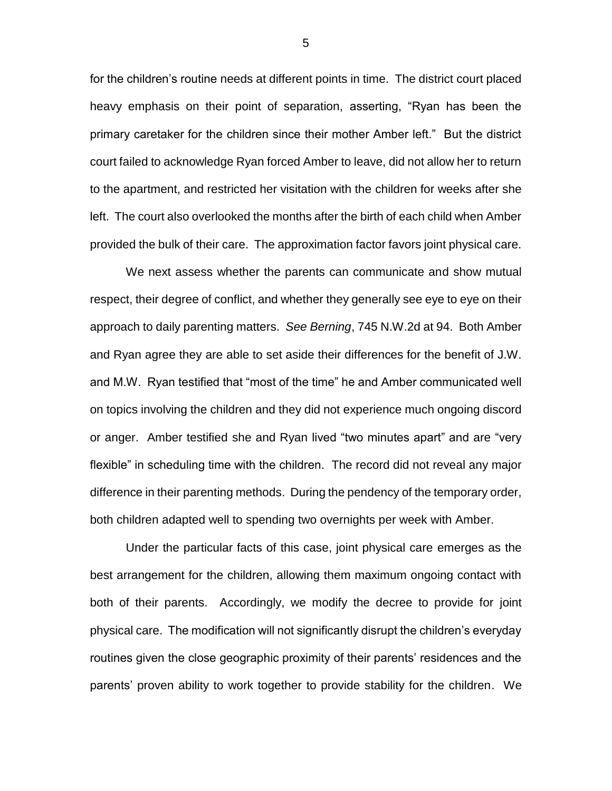for the children's routine needs at different points in time. The district court placed heavy emphasis on their point of separation, asserting, "Ryan has been the primary caretaker for the children since their mother Amber left." But the district court failed to acknowledge Ryan forced Amber to leave, did not allow her to return to the apartment, and restricted her visitation with the children for weeks after she left. The court also overlooked the months after the birth of each child when Amber provided the bulk of their care. The approximation factor favors joint physical care.

We next assess whether the parents can communicate and show mutual respect, their degree of conflict, and whether they generally see eye to eye on their approach to daily parenting matters. *See Berning*, 745 N.W.2d at 94. Both Amber and Ryan agree they are able to set aside their differences for the benefit of J.W. and M.W. Ryan testified that "most of the time" he and Amber communicated well on topics involving the children and they did not experience much ongoing discord or anger. Amber testified she and Ryan lived "two minutes apart" and are "very flexible" in scheduling time with the children. The record did not reveal any major difference in their parenting methods. During the pendency of the temporary order, both children adapted well to spending two overnights per week with Amber.

Under the particular facts of this case, joint physical care emerges as the best arrangement for the children, allowing them maximum ongoing contact with both of their parents. Accordingly, we modify the decree to provide for joint physical care. The modification will not significantly disrupt the children's everyday routines given the close geographic proximity of their parents' residences and the parents' proven ability to work together to provide stability for the children. We

5